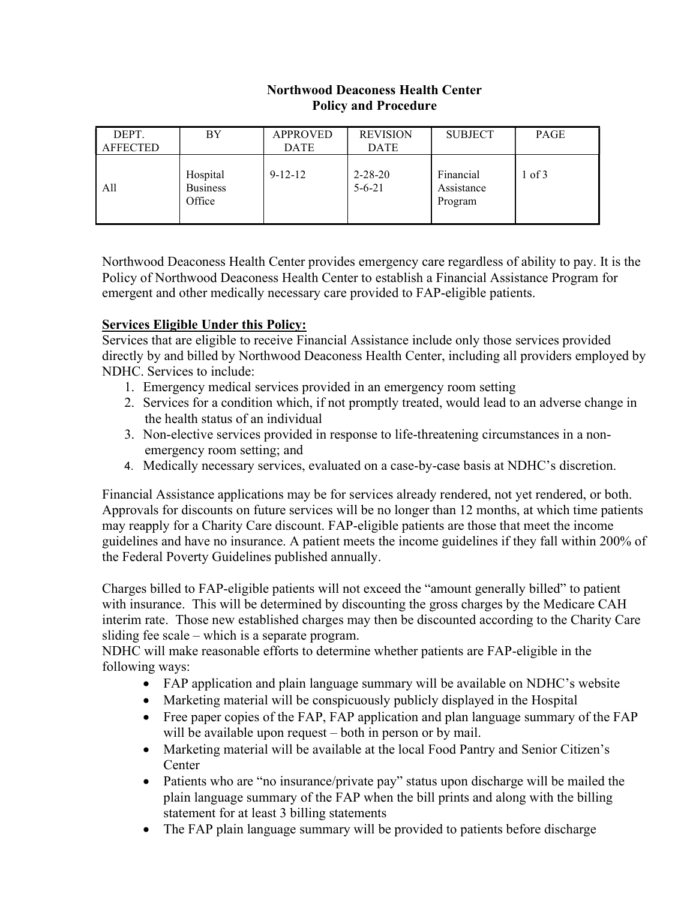#### Northwood Deaconess Health Center Policy and Procedure

| DEPT.<br><b>AFFECTED</b> | BY                                    | <b>APPROVED</b><br><b>DATE</b> | <b>REVISION</b><br><b>DATE</b> | <b>SUBJECT</b>                     | PAGE   |
|--------------------------|---------------------------------------|--------------------------------|--------------------------------|------------------------------------|--------|
| All                      | Hospital<br><b>Business</b><br>Office | $9 - 12 - 12$                  | $2 - 28 - 20$<br>$5 - 6 - 21$  | Financial<br>Assistance<br>Program | 1 of 3 |

Northwood Deaconess Health Center provides emergency care regardless of ability to pay. It is the Policy of Northwood Deaconess Health Center to establish a Financial Assistance Program for emergent and other medically necessary care provided to FAP-eligible patients.

# Services Eligible Under this Policy:

Services that are eligible to receive Financial Assistance include only those services provided directly by and billed by Northwood Deaconess Health Center, including all providers employed by NDHC. Services to include:

- 1. Emergency medical services provided in an emergency room setting
- 2. Services for a condition which, if not promptly treated, would lead to an adverse change in the health status of an individual
- 3. Non-elective services provided in response to life-threatening circumstances in a nonemergency room setting; and
- 4. Medically necessary services, evaluated on a case-by-case basis at NDHC's discretion.

Financial Assistance applications may be for services already rendered, not yet rendered, or both. Approvals for discounts on future services will be no longer than 12 months, at which time patients may reapply for a Charity Care discount. FAP-eligible patients are those that meet the income guidelines and have no insurance. A patient meets the income guidelines if they fall within 200% of the Federal Poverty Guidelines published annually.

Charges billed to FAP-eligible patients will not exceed the "amount generally billed" to patient with insurance. This will be determined by discounting the gross charges by the Medicare CAH interim rate. Those new established charges may then be discounted according to the Charity Care sliding fee scale – which is a separate program.

NDHC will make reasonable efforts to determine whether patients are FAP-eligible in the following ways:

- FAP application and plain language summary will be available on NDHC's website
- Marketing material will be conspicuously publicly displayed in the Hospital
- Free paper copies of the FAP, FAP application and plan language summary of the FAP will be available upon request – both in person or by mail.
- Marketing material will be available at the local Food Pantry and Senior Citizen's **Center**
- Patients who are "no insurance/private pay" status upon discharge will be mailed the plain language summary of the FAP when the bill prints and along with the billing statement for at least 3 billing statements
- The FAP plain language summary will be provided to patients before discharge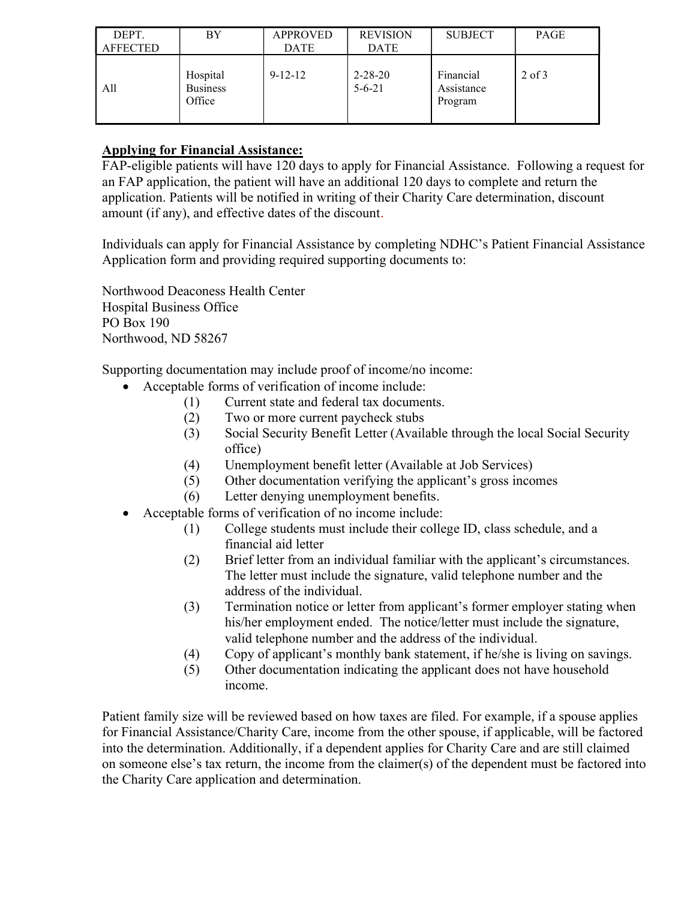| DEPT.<br><b>AFFECTED</b> | BY                                    | <b>APPROVED</b><br><b>DATE</b> | <b>REVISION</b><br><b>DATE</b> | <b>SUBJECT</b>                     | PAGE       |
|--------------------------|---------------------------------------|--------------------------------|--------------------------------|------------------------------------|------------|
| All                      | Hospital<br><b>Business</b><br>Office | $9 - 12 - 12$                  | $2 - 28 - 20$<br>$5 - 6 - 21$  | Financial<br>Assistance<br>Program | $2$ of $3$ |

# Applying for Financial Assistance:

FAP-eligible patients will have 120 days to apply for Financial Assistance. Following a request for an FAP application, the patient will have an additional 120 days to complete and return the application. Patients will be notified in writing of their Charity Care determination, discount amount (if any), and effective dates of the discount.

Individuals can apply for Financial Assistance by completing NDHC's Patient Financial Assistance Application form and providing required supporting documents to:

Northwood Deaconess Health Center Hospital Business Office PO Box 190 Northwood, ND 58267

Supporting documentation may include proof of income/no income:

- Acceptable forms of verification of income include:
	- (1) Current state and federal tax documents.
	- (2) Two or more current paycheck stubs
	- (3) Social Security Benefit Letter (Available through the local Social Security office)
	- (4) Unemployment benefit letter (Available at Job Services)
	- (5) Other documentation verifying the applicant's gross incomes
	- (6) Letter denying unemployment benefits.
- Acceptable forms of verification of no income include:
	- (1) College students must include their college ID, class schedule, and a financial aid letter
	- (2) Brief letter from an individual familiar with the applicant's circumstances. The letter must include the signature, valid telephone number and the address of the individual.
	- (3) Termination notice or letter from applicant's former employer stating when his/her employment ended. The notice/letter must include the signature, valid telephone number and the address of the individual.
	- (4) Copy of applicant's monthly bank statement, if he/she is living on savings.
	- (5) Other documentation indicating the applicant does not have household income.

Patient family size will be reviewed based on how taxes are filed. For example, if a spouse applies for Financial Assistance/Charity Care, income from the other spouse, if applicable, will be factored into the determination. Additionally, if a dependent applies for Charity Care and are still claimed on someone else's tax return, the income from the claimer(s) of the dependent must be factored into the Charity Care application and determination.